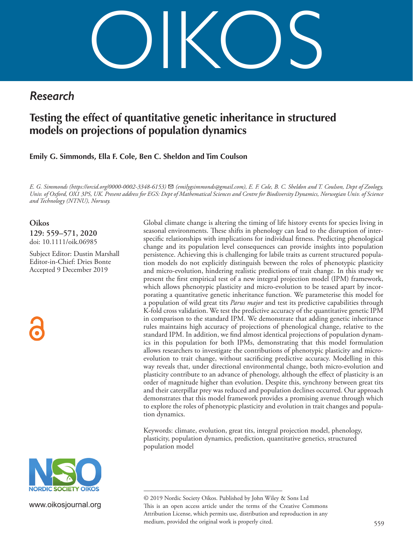OIKOS

*Research*

# **Testing the effect of quantitative genetic inheritance in structured models on projections of population dynamics**

**Emily G. Simmonds, Ella F. Cole, Ben C. Sheldon and Tim Coulson**

*E. G. Simmonds (https://orcid.org/0000-0002-3348-6153)* ✉ *(emilygsimmonds@gmail.com), E. F. Cole, B. C. Sheldon and T. Coulson, Dept of Zoology, Univ. of Oxford, OX1 3PS, UK. Present address for EGS: Dept of Mathematical Sciences and Centre for Biodiversity Dynamics, Norwegian Univ. of Science and Technology (NTNU), Norway.*

**Oikos 129: 559–571, 2020** [doi: 10.1111/oik.06985](http://dx.doi.org/10.1111/oik.06985)

Subject Editor: Dustin Marshall Editor-in-Chief: Dries Bonte Accepted 9 December 2019

Global climate change is altering the timing of life history events for species living in seasonal environments. These shifts in phenology can lead to the disruption of interspecific relationships with implications for individual fitness. Predicting phenological change and its population level consequences can provide insights into population persistence. Achieving this is challenging for labile traits as current structured population models do not explicitly distinguish between the roles of phenotypic plasticity and micro-evolution, hindering realistic predictions of trait change. In this study we present the first empirical test of a new integral projection model (IPM) framework, which allows phenotypic plasticity and micro-evolution to be teased apart by incorporating a quantitative genetic inheritance function. We parameterise this model for a population of wild great tits *Parus major* and test its predictive capabilities through K-fold cross validation. We test the predictive accuracy of the quantitative genetic IPM in comparison to the standard IPM. We demonstrate that adding genetic inheritance rules maintains high accuracy of projections of phenological change, relative to the standard IPM. In addition, we find almost identical projections of population dynamics in this population for both IPMs, demonstrating that this model formulation allows researchers to investigate the contributions of phenotypic plasticity and microevolution to trait change, without sacrificing predictive accuracy. Modelling in this way reveals that, under directional environmental change, both micro-evolution and plasticity contribute to an advance of phenology, although the effect of plasticity is an order of magnitude higher than evolution. Despite this, synchrony between great tits and their caterpillar prey was reduced and population declines occurred. Our approach demonstrates that this model framework provides a promising avenue through which to explore the roles of phenotypic plasticity and evolution in trait changes and population dynamics.

Keywords: climate, evolution, great tits, integral projection model, phenology, plasticity, population dynamics, prediction, quantitative genetics, structured population model



www.oikosjournal.org

––––––––––––––––––––––––––––––––––––––––

<sup>© 2019</sup> Nordic Society Oikos. Published by John Wiley & Sons Ltd This is an open access article under the terms of the Creative Commons Attribution License, which permits use, distribution and reproduction in any medium, provided the original work is properly cited.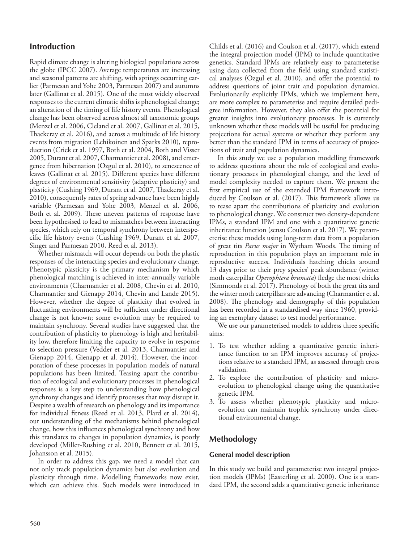# **Introduction**

Rapid climate change is altering biological populations across the globe (IPCC 2007). Average temperatures are increasing and seasonal patterns are shifting, with springs occurring earlier (Parmesan and Yohe 2003, Parmesan 2007) and autumns later (Gallinat et al. 2015). One of the most widely observed responses to the current climatic shifts is phenological change; an alteration of the timing of life history events. Phenological change has been observed across almost all taxonomic groups (Menzel et al. 2006, Cleland et al. 2007, Gallinat et al. 2015, Thackeray et al. 2016), and across a multitude of life history events from migration (Lehikoinen and Sparks 2010), reproduction (Crick et al. 1997, Both et al. 2004, Both and Visser 2005, Durant et al. 2007, Charmantier et al. 2008), and emergence from hibernation (Ozgul et al. 2010), to senescence of leaves (Gallinat et al. 2015). Different species have different degrees of environmental sensitivity (adaptive plasticity) and plasticity (Cushing 1969, Durant et al. 2007, Thackeray et al. 2010), consequently rates of spring advance have been highly variable (Parmesan and Yohe 2003, Menzel et al. 2006, Both et al. 2009). These uneven patterns of response have been hypothesised to lead to mismatches between interacting species, which rely on temporal synchrony between interspecific life history events (Cushing 1969, Durant et al. 2007, Singer and Parmesan 2010, Reed et al. 2013).

Whether mismatch will occur depends on both the plastic responses of the interacting species and evolutionary change. Phenotypic plasticity is the primary mechanism by which phenological matching is achieved in inter-annually variable environments (Charmantier et al. 2008, Chevin et al. 2010, Charmantier and Gienapp 2014, Chevin and Lande 2015). However, whether the degree of plasticity that evolved in fluctuating environments will be sufficient under directional change is not known; some evolution may be required to maintain synchrony. Several studies have suggested that the contribution of plasticity to phenology is high and heritability low, therefore limiting the capacity to evolve in response to selection pressure (Vedder et al. 2013, Charmantier and Gienapp 2014, Gienapp et al. 2014). However, the incorporation of these processes in population models of natural populations has been limited. Teasing apart the contribution of ecological and evolutionary processes in phenological responses is a key step to understanding how phenological synchrony changes and identify processes that may disrupt it. Despite a wealth of research on phenology and its importance for individual fitness (Reed et al. 2013, Plard et al. 2014), our understanding of the mechanisms behind phenological change, how this influences phenological synchrony and how this translates to changes in population dynamics, is poorly developed (Miller-Rushing et al. 2010, Bennett et al. 2015, Johansson et al. 2015).

In order to address this gap, we need a model that can not only track population dynamics but also evolution and plasticity through time. Modelling frameworks now exist, which can achieve this. Such models were introduced in

Childs et al. (2016) and Coulson et al. (2017), which extend the integral projection model (IPM) to include quantitative genetics. Standard IPMs are relatively easy to parameterise using data collected from the field using standard statistical analyses (Ozgul et al. 2010), and offer the potential to address questions of joint trait and population dynamics. Evolutionarily explicitly IPMs, which we implement here, are more complex to parameterise and require detailed pedigree information. However, they also offer the potential for greater insights into evolutionary processes. It is currently unknown whether these models will be useful for producing projections for actual systems or whether they perform any better than the standard IPM in terms of accuracy of projections of trait and population dynamics.

In this study we use a population modelling framework to address questions about the role of ecological and evolutionary processes in phenological change, and the level of model complexity needed to capture them. We present the first empirical use of the extended IPM framework introduced by Coulson et al. (2017). This framework allows us to tease apart the contributions of plasticity and evolution to phenological change. We construct two density-dependent IPMs, a standard IPM and one with a quantitative genetic inheritance function (sensu Coulson et al. 2017). We parameterise these models using long-term data from a population of great tits *Parus major* in Wytham Woods. The timing of reproduction in this population plays an important role in reproductive success. Individuals hatching chicks around 13 days prior to their prey species' peak abundance (winter moth caterpillar *Operophtera brumata*) fledge the most chicks (Simmonds et al. 2017). Phenology of both the great tits and the winter moth caterpillars are advancing (Charmantier et al. 2008). The phenology and demography of this population has been recorded in a standardised way since 1960, providing an exemplary dataset to test model performance.

We use our parameterised models to address three specific aims:

- 1. To test whether adding a quantitative genetic inheritance function to an IPM improves accuracy of projections relative to a standard IPM, as assessed through cross validation.
- 2. To explore the contribution of plasticity and microevolution to phenological change using the quantitative genetic IPM.
- 3. To assess whether phenotypic plasticity and microevolution can maintain trophic synchrony under directional environmental change.

# **Methodology**

# **General model description**

In this study we build and parameterise two integral projection models (IPMs) (Easterling et al. 2000). One is a standard IPM, the second adds a quantitative genetic inheritance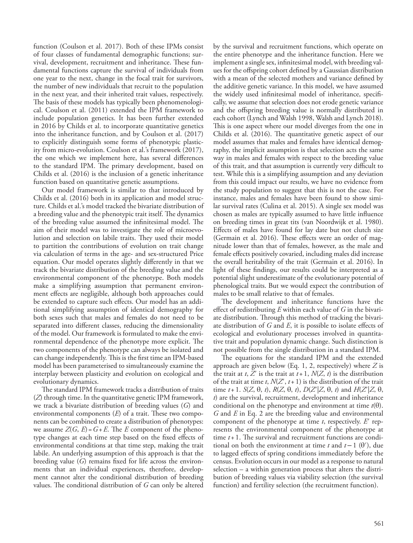function (Coulson et al. 2017). Both of these IPMs consist of four classes of fundamental demographic functions; survival, development, recruitment and inheritance. These fundamental functions capture the survival of individuals from one year to the next, change in the focal trait for survivors, the number of new individuals that recruit to the population in the next year, and their inherited trait values, respectively. The basis of these models has typically been phenomenological. Coulson et al. (2011) extended the IPM framework to include population genetics. It has been further extended in 2016 by Childs et al. to incorporate quantitative genetics into the inheritance function, and by Coulson et al. (2017) to explicitly distinguish some forms of phenotypic plasticity from micro-evolution. Coulson et al.'s framework (2017), the one which we implement here, has several differences to the standard IPM. The primary development, based on Childs et al. (2016) is the inclusion of a genetic inheritance function based on quantitative genetic assumptions.

Our model framework is similar to that introduced by Childs et al. (2016) both in its application and model structure. Childs et al.'s model tracked the bivariate distribution of a breeding value and the phenotypic trait itself. The dynamics of the breeding value assumed the infinitesimal model. The aim of their model was to investigate the role of microevolution and selection on labile traits. They used their model to partition the contributions of evolution on trait change via calculation of terms in the age- and sex-structured Price equation. Our model operates slightly differently in that we track the bivariate distribution of the breeding value and the environmental component of the phenotype. Both models make a simplifying assumption that permanent environment effects are negligible, although both approaches could be extended to capture such effects. Our model has an additional simplifying assumption of identical demography for both sexes such that males and females do not need to be separated into different classes, reducing the dimensionality of the model. Our framework is formulated to make the environmental dependence of the phenotype more explicit. The two components of the phenotype can always be isolated and can change independently. This is the first time an IPM-based model has been parameterised to simultaneously examine the interplay between plasticity and evolution on ecological and evolutionary dynamics.

The standard IPM framework tracks a distribution of traits (*Z*) through time. In the quantitative genetic IPM framework, we track a bivariate distribution of breeding values (*G*) and environmental components (*E*) of a trait. These two components can be combined to create a distribution of phenotypes: we assume  $Z(G, E) = G + E$ . The *E* component of the phenotype changes at each time step based on the fixed effects of environmental conditions at that time step, making the trait labile. An underlying assumption of this approach is that the breeding value (*G*) remains fixed for life across the environments that an individual experiences, therefore, development cannot alter the conditional distribution of breeding values. The conditional distribution of *G* can only be altered

by the survival and recruitment functions, which operate on the entire phenotype and the inheritance function. Here we implement a single sex, infinitesimal model, with breeding values for the offspring cohort defined by a Gaussian distribution with a mean of the selected mothers and variance defined by the additive genetic variance. In this model, we have assumed the widely used infinitesimal model of inheritance, specifically, we assume that selection does not erode genetic variance and the offspring breeding value is normally distributed in each cohort (Lynch and Walsh 1998, Walsh and Lynch 2018). This is one aspect where our model diverges from the one in Childs et al. (2016). The quantitative genetic aspect of our model assumes that males and females have identical demography, the implicit assumption is that selection acts the same way in males and females with respect to the breeding value of this trait, and that assumption is currently very difficult to test. While this is a simplifying assumption and any deviation from this could impact our results, we have no evidence from the study population to suggest that this is not the case. For instance, males and females have been found to show similar survival rates (Culina et al. 2015). A single sex model was chosen as males are typically assumed to have little influence on breeding times in great tits (van Noordwijk et al. 1980). Effects of males have found for lay date but not clutch size (Germain et al. 2016). These effects were an order of magnitude lower than that of females, however, as the male and female effects positively covaried, including males did increase the overall heritability of the trait (Germain et al. 2016). In light of these findings, our results could be interpreted as a potential slight underestimate of the evolutionary potential of phenological traits. But we would expect the contribution of males to be small relative to that of females.

The development and inheritance functions have the effect of redistributing *E* within each value of *G* in the bivariate distribution. Through this method of tracking the bivariate distribution of *G* and *E*, it is possible to isolate effects of ecological and evolutionary processes involved in quantitative trait and population dynamic change. Such distinction is not possible from the single distribution in a standard IPM.

The equations for the standard IPM and the extended approach are given below (Eq. 1, 2, respectively) where *Z* is the trait at *t*,  $Z'$  is the trait at  $t+1$ ,  $N(Z, t)$  is the distribution of the trait at time *t*,  $N(Z', t+1)$  is the distribution of the trait time *t*+ 1. *S*(*Z*, θ, *t*), *R*(*Z*, θ, *t*), *D*(*Z*′|*Z*, θ, *t*) and *H*(*Z*′|*Z*, θ, *t*) are the survival, recruitment, development and inheritance conditional on the phenotype and environment at time *t*(θ). *G* and *E* in Eq. 2 are the breeding value and environmental component of the phenotype at time *t*, respectively. *E*′ represents the environmental component of the phenotype at time *t* + 1. The survival and recruitment functions are conditional on both the environment at time *t* and *t*−1 (θ′), due to lagged effects of spring conditions immediately before the census. Evolution occurs in our model as a response to natural selection – a within generation process that alters the distribution of breeding values via viability selection (the survival function) and fertility selection (the recruitment function).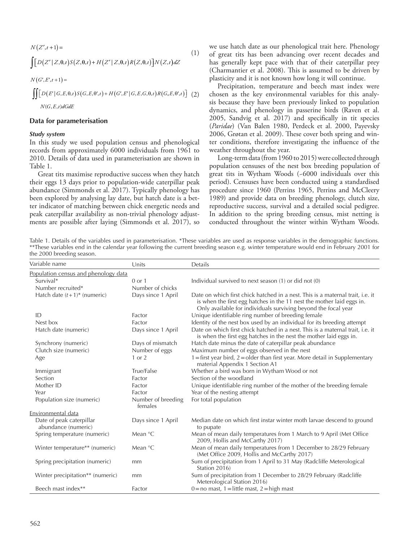$$
N(Z',t+1) = \int [D(Z'|Z,\theta,t)S(Z,\theta,t) + H(Z'|Z,\theta,t)R(Z,\theta,t)]N(Z,t)dZ
$$
  

$$
N(G',E',t+1) =
$$
 (1)

$$
\iint [D(E'|G,E,\theta,t)S(G,E,\theta',t) + H(G',E'|G,E,G,\theta,t)R(G,E,\theta',t)] \tag{2}
$$
  

$$
N(G,E,t)dGdE
$$

#### **Data for parameterisation**

#### *Study system*

In this study we used population census and phenological records from approximately 6000 individuals from 1961 to 2010. Details of data used in parameterisation are shown in Table 1.

Great tits maximise reproductive success when they hatch their eggs 13 days prior to population-wide caterpillar peak abundance (Simmonds et al. 2017). Typically phenology has been explored by analysing lay date, but hatch date is a better indicator of matching between chick energetic needs and peak caterpillar availability as non-trivial phenology adjustments are possible after laying (Simmonds et al. 2017), so

we use hatch date as our phenological trait here. Phenology of great tits has been advancing over recent decades and has generally kept pace with that of their caterpillar prey (Charmantier et al. 2008). This is assumed to be driven by plasticity and it is not known how long it will continue.

Precipitation, temperature and beech mast index were chosen as the key environmental variables for this analysis because they have been previously linked to population dynamics, and phenology in passerine birds (Raven et al. 2005, Sandvig et al. 2017) and specifically in tit species (*Paridae*) (Van Balen 1980, Perdeck et al. 2000, Payevsky 2006, Grøtan et al. 2009). These cover both spring and winter conditions, therefore investigating the influence of the weather throughout the year.

Long-term data (from 1960 to 2015) were collected through population censuses of the nest box breeding population of great tits in Wytham Woods (~6000 individuals over this period). Censuses have been conducted using a standardised procedure since 1960 (Perrins 1965, Perrins and McCleery 1989) and provide data on breeding phenology, clutch size, reproductive success, survival and a detailed social pedigree. In addition to the spring breeding census, mist netting is conducted throughout the winter within Wytham Woods.

Table 1. Details of the variables used in parameterisation. \*These variables are used as response variables in the demographic functions. \*\*These variables end in the calendar year following the current breeding season e.g. winter temperature would end in February 2001 for the 2000 breeding season.

| Variable name                                   | Units                         | Details                                                                                                                                                                                                                   |
|-------------------------------------------------|-------------------------------|---------------------------------------------------------------------------------------------------------------------------------------------------------------------------------------------------------------------------|
| Population census and phenology data            |                               |                                                                                                                                                                                                                           |
| Survival*                                       | $0$ or $1$                    | Individual survived to next season (1) or did not (0)                                                                                                                                                                     |
| Number recruited*                               | Number of chicks              |                                                                                                                                                                                                                           |
| Hatch date $(t+1)^*$ (numeric)                  | Days since 1 April            | Date on which first chick hatched in a nest. This is a maternal trait, i.e. it<br>is when the first egg hatches in the 11 nest the mother laid eggs in.<br>Only available for individuals surviving beyond the focal year |
| ID                                              | Factor                        | Unique identifiable ring number of breeding female                                                                                                                                                                        |
| Nest box                                        | Factor                        | Identity of the nest box used by an individual for its breeding attempt                                                                                                                                                   |
| Hatch date (numeric)                            | Days since 1 April            | Date on which first chick hatched in a nest. This is a maternal trait, i.e. it<br>is when the first egg hatches in the nest the mother laid eggs in.                                                                      |
| Synchrony (numeric)                             | Days of mismatch              | Hatch date minus the date of caterpillar peak abundance                                                                                                                                                                   |
| Clutch size (numeric)                           | Number of eggs                | Maximum number of eggs observed in the nest                                                                                                                                                                               |
| Age                                             | 1 or 2                        | $1 =$ first year bird, $2 =$ older than first year. More detail in Supplementary<br>material Appendix 1 Section A1                                                                                                        |
| Immigrant                                       | True/False                    | Whether a bird was born in Wytham Wood or not                                                                                                                                                                             |
| Section                                         | Factor                        | Section of the woodland                                                                                                                                                                                                   |
| Mother ID                                       | Factor                        | Unique identifiable ring number of the mother of the breeding female                                                                                                                                                      |
| Year                                            | Factor                        | Year of the nesting attempt                                                                                                                                                                                               |
| Population size (numeric)                       | Number of breeding<br>females | For total population                                                                                                                                                                                                      |
| Environmental data                              |                               |                                                                                                                                                                                                                           |
| Date of peak caterpillar<br>abundance (numeric) | Days since 1 April            | Median date on which first instar winter moth larvae descend to ground<br>to pupate                                                                                                                                       |
| Spring temperature (numeric)                    | Mean °C                       | Mean of mean daily temperatures from 1 March to 9 April (Met Office<br>2009, Hollis and McCarthy 2017)                                                                                                                    |
| Winter temperature** (numeric)                  | Mean $\mathrm{C}$             | Mean of mean daily temperatures from 1 December to 28/29 February<br>(Met Office 2009, Hollis and McCarthy 2017)                                                                                                          |
| Spring precipitation (numeric)                  | mm                            | Sum of precipitation from 1 April to 31 May (Radcliffe Meterological<br>Station 2016)                                                                                                                                     |
| Winter precipitation** (numeric)                | mm                            | Sum of precipitation from 1 December to 28/29 February (Radcliffe<br>Meterological Station 2016)                                                                                                                          |
| Beech mast index**                              | Factor                        | $0 = no$ mast, $1 =$ little mast, $2 =$ high mast                                                                                                                                                                         |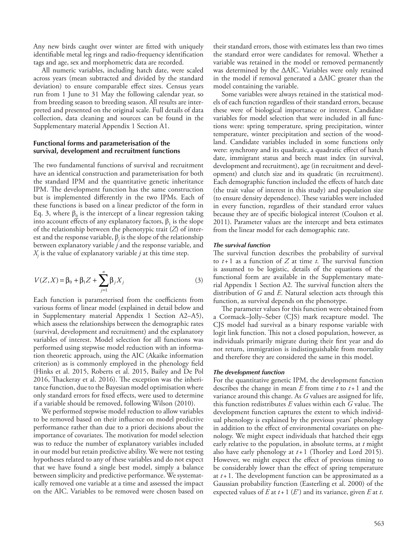Any new birds caught over winter are fitted with uniquely identifiable metal leg rings and radio-frequency identification tags and age, sex and morphometric data are recorded.

All numeric variables, including hatch date, were scaled across years (mean subtracted and divided by the standard deviation) to ensure comparable effect sizes. Census years run from 1 June to 31 May the following calendar year, so from breeding season to breeding season. All results are interpreted and presented on the original scale. Full details of data collection, data cleaning and sources can be found in the Supplementary material Appendix 1 Section A1.

# **Functional forms and parameterisation of the survival, development and recruitment functions**

The two fundamental functions of survival and recruitment have an identical construction and parameterisation for both the standard IPM and the quantitative genetic inheritance IPM. The development function has the same construction but is implemented differently in the two IPMs. Each of these functions is based on a linear predictor of the form in Eq. 3, where  $β<sub>0</sub>$  is the intercept of a linear regression taking into account effects of any explanatory factors,  $\beta_1$  is the slope of the relationship between the phenotypic trait (*Z*) of interest and the response variable, β*<sup>j</sup>* is the slope of the relationship between explanatory variable *j* and the response variable, and *Xj* is the value of explanatory variable *j* at this time step.

$$
V(Z, X) = \beta_0 + \beta_1 Z + \sum_{j=1}^{n} \beta_j X_j
$$
 (3)

Each function is parameterised from the coefficients from various forms of linear model (explained in detail below and in Supplementary material Appendix 1 Section A2–A5), which assess the relationships between the demographic rates (survival, development and recruitment) and the explanatory variables of interest. Model selection for all functions was performed using stepwise model reduction with an information theoretic approach, using the AIC (Akaike information criterion) as is commonly employed in the phenology field (Hinks et al. 2015, Roberts et al. 2015, Bailey and De Pol 2016, Thackeray et al. 2016). The exception was the inheritance function, due to the Bayesian model optimisation where only standard errors for fixed effects, were used to determine if a variable should be removed, following Wilson (2010).

We performed stepwise model reduction to allow variables to be removed based on their influence on model predictive performance rather than due to a priori decisions about the importance of covariates. The motivation for model selection was to reduce the number of explanatory variables included in our model but retain predictive ability. We were not testing hypotheses related to any of these variables and do not expect that we have found a single best model, simply a balance between simplicity and predictive performance. We systematically removed one variable at a time and assessed the impact on the AIC. Variables to be removed were chosen based on their standard errors, those with estimates less than two times the standard error were candidates for removal. Whether a variable was retained in the model or removed permanently was determined by the ΔAIC. Variables were only retained in the model if removal generated a ΔAIC greater than the model containing the variable.

Some variables were always retained in the statistical models of each function regardless of their standard errors, because these were of biological importance or interest. Candidate variables for model selection that were included in all functions were: spring temperature, spring precipitation, winter temperature, winter precipitation and section of the woodland. Candidate variables included in some functions only were: synchrony and its quadratic, a quadratic effect of hatch date, immigrant status and beech mast index (in survival, development and recruitment), age (in recruitment and development) and clutch size and its quadratic (in recruitment). Each demographic function included the effects of hatch date (the trait value of interest in this study) and population size (to ensure density dependence). These variables were included in every function, regardless of their standard error values because they are of specific biological interest (Coulson et al. 2011). Parameter values are the intercept and beta estimates from the linear model for each demographic rate.

#### *The survival function*

The survival function describes the probability of survival to  $t+1$  as a function of  $Z$  at time  $t$ . The survival function is assumed to be logistic, details of the equations of the functional form are available in the Supplementary material Appendix 1 Section A2. The survival function alters the distribution of *G* and *E*. Natural selection acts through this function, as survival depends on the phenotype.

The parameter values for this function were obtained from a Cormack–Jolly–Seber (CJS) mark recapture model. The CJS model had survival as a binary response variable with logit link function. This not a closed population, however, as individuals primarily migrate during their first year and do not return, immigration is indistinguishable from mortality and therefore they are considered the same in this model.

#### *The development function*

For the quantitative genetic IPM, the development function describes the change in mean *E* from time *t* to *t*+ 1 and the variance around this change. As *G* values are assigned for life, this function redistributes *E* values within each *G* value. The development function captures the extent to which individual phenology is explained by the previous years' phenology in addition to the effect of environmental covariates on phenology. We might expect individuals that hatched their eggs early relative to the population, in absolute terms, at *t* might also have early phenology at *t* + 1 (Thorley and Lord 2015). However, we might expect the effect of previous timing to be considerably lower than the effect of spring temperature at *t* +1. The development function can be approximated as a Gaussian probability function (Easterling et al. 2000) of the expected values of *E* at *t*+1 (*E*′) and its variance, given *E* at *t*.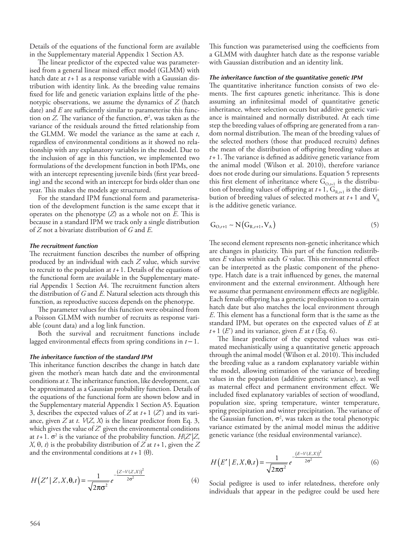Details of the equations of the functional form are available in the Supplementary material Appendix 1 Section A3.

The linear predictor of the expected value was parameterised from a general linear mixed effect model (GLMM) with hatch date at *t*+1 as a response variable with a Gaussian distribution with identity link. As the breeding value remains fixed for life and genetic variation explains little of the phenotypic observations, we assume the dynamics of *Z* (hatch date) and *E* are sufficiently similar to parameterise this function on *Z*. The variance of the function,  $\sigma^2$ , was taken as the variance of the residuals around the fitted relationship from the GLMM. We model the variance as the same at each *t*, regardless of environmental conditions as it showed no relationship with any explanatory variables in the model. Due to the inclusion of age in this function, we implemented two formulations of the development function in both IPMs, one with an intercept representing juvenile birds (first year breeding) and the second with an intercept for birds older than one year. This makes the models age structured.

For the standard IPM functional form and parameterisation of the development function is the same except that it operates on the phenotype (*Z*) as a whole not on *E*. This is because in a standard IPM we track only a single distribution of *Z* not a bivariate distribution of *G* and *E*.

#### *The recruitment function*

The recruitment function describes the number of offspring produced by an individual with each *Z* value, which survive to recruit to the population at *t*+1. Details of the equations of the functional form are available in the Supplementary material Appendix 1 Section A4. The recruitment function alters the distribution of *G* and *E*. Natural selection acts through this function, as reproductive success depends on the phenotype.

The parameter values for this function were obtained from a Poisson GLMM with number of recruits as response variable (count data) and a log link function.

Both the survival and recruitment functions include lagged environmental effects from spring conditions in *t*−1.

#### *The inheritance function of the standard IPM*

This inheritance function describes the change in hatch date given the mother's mean hatch date and the environmental conditions at *t*. The inheritance function, like development, can be approximated as a Gaussian probability function. Details of the equations of the functional form are shown below and in the Supplementary material Appendix 1 Section A5. Equation 3, describes the expected values of  $Z$  at  $t+1$  ( $Z'$ ) and its variance, given *Z* at *t*. *V*(*Z*, *X*) is the linear predictor from Eq. 3, which gives the value of  $Z'$  given the environmental conditions at *t*+1.  $\sigma^2$  is the variance of the probability function.  $H(Z|Z, \mathbf{z})$ *X*, θ, *t*) is the probability distribution of *Z* at *t*+1, given the *Z* and the environmental conditions at  $t+1$  (θ).

$$
H(Z' | Z, X, \theta, t) = \frac{1}{\sqrt{2\pi\sigma^2}} e^{-\frac{(Z - V(Z, X))^2}{2\sigma^2}}
$$
(4)

This function was parameterised using the coefficients from a GLMM with daughter hatch date as the response variable with Gaussian distribution and an identity link.

#### *The inheritance function of the quantitative genetic IPM*

The quantitative inheritance function consists of two elements. The first captures genetic inheritance. This is done assuming an infinitesimal model of quantitative genetic inheritance, where selection occurs but additive genetic variance is maintained and normally distributed. At each time step the breeding values of offspring are generated from a random normal distribution. The mean of the breeding values of the selected mothers (those that produced recruits) defines the mean of the distribution of offspring breeding values at *t* + 1. The variance is defined as additive genetic variance from the animal model (Wilson et al. 2010), therefore variance does not erode during our simulations. Equation 5 represents this first element of inheritance where  $G_{O_{t+1}}$  is the distribution of breeding values of offspring at  $t+1$ ,  $G_{R,t+1}$  is the distribution of breeding values of selected mothers at  $t+1$  and  $V_A$ is the additive genetic variance.

$$
G_{O,t+1} \sim N(G_{R,t+1}, V_A)
$$
 (5)

The second element represents non-genetic inheritance which are changes in plasticity. This part of the function redistributes *E* values within each *G* value. This environmental effect can be interpreted as the plastic component of the phenotype. Hatch date is a trait influenced by genes, the maternal environment and the external environment. Although here we assume that permanent environment effects are negligible. Each female offspring has a genetic predisposition to a certain hatch date but also matches the local environment through *E*. This element has a functional form that is the same as the standard IPM, but operates on the expected values of *E* at  $t+1$  (*E*<sup> $\prime$ </sup>) and its variance, given *E* at *t* (Eq. 6).

The linear predictor of the expected values was estimated mechanistically using a quantitative genetic approach through the animal model (Wilson et al. 2010). This included the breeding value as a random explanatory variable within the model, allowing estimation of the variance of breeding values in the population (additive genetic variance), as well as maternal effect and permanent environment effect. We included fixed explanatory variables of section of woodland, population size, spring temperature, winter temperature, spring precipitation and winter precipitation. The variance of the Gaussian function,  $\sigma^2$ , was taken as the total phenotypic variance estimated by the animal model minus the additive genetic variance (the residual environmental variance).

$$
H(E' | E, X, \theta, t) = \frac{1}{\sqrt{2\pi\sigma^2}} e^{-\frac{(E - V(E, X))^2}{2\sigma^2}}
$$
(6)

Social pedigree is used to infer relatedness, therefore only individuals that appear in the pedigree could be used here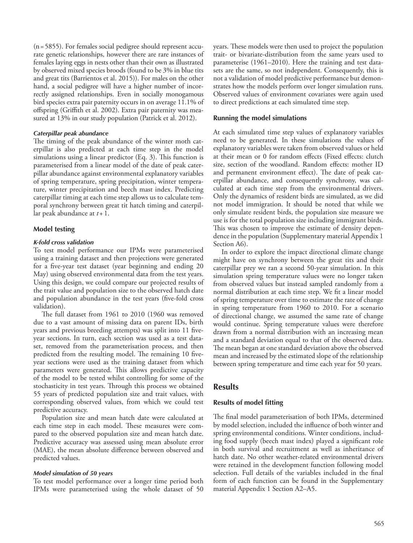(n=5855). For females social pedigree should represent accurate genetic relationships, however there are rare instances of females laying eggs in nests other than their own as illustrated by observed mixed species broods (found to be 3% in blue tits and great tits (Barrientos et al. 2015)). For males on the other hand, a social pedigree will have a higher number of incorrectly assigned relationships. Even in socially monogamous bird species extra pair paternity occurs in on average 11.1% of offspring (Griffith et al. 2002). Extra pair paternity was measured at 13% in our study population (Patrick et al. 2012).

### *Caterpillar peak abundance*

The timing of the peak abundance of the winter moth caterpillar is also predicted at each time step in the model simulations using a linear predictor (Eq. 3). This function is parameterised from a linear model of the date of peak caterpillar abundance against environmental explanatory variables of spring temperature, spring precipitation, winter temperature, winter precipitation and beech mast index. Predicting caterpillar timing at each time step allows us to calculate temporal synchrony between great tit hatch timing and caterpillar peak abundance at *t*+1.

# **Model testing**

#### *K-fold cross validation*

To test model performance our IPMs were parameterised using a training dataset and then projections were generated for a five-year test dataset (year beginning and ending 20 May) using observed environmental data from the test years. Using this design, we could compare our projected results of the trait value and population size to the observed hatch date and population abundance in the test years (five-fold cross validation).

The full dataset from 1961 to 2010 (1960 was removed due to a vast amount of missing data on parent IDs, birth years and previous breeding attempts) was split into 11 fiveyear sections. In turn, each section was used as a test dataset, removed from the parameterisation process, and then predicted from the resulting model. The remaining 10 fiveyear sections were used as the training dataset from which parameters were generated. This allows predictive capacity of the model to be tested whilst controlling for some of the stochasticity in test years. Through this process we obtained 55 years of predicted population size and trait values, with corresponding observed values, from which we could test predictive accuracy.

Population size and mean hatch date were calculated at each time step in each model. These measures were compared to the observed population size and mean hatch date. Predictive accuracy was assessed using mean absolute error (MAE), the mean absolute difference between observed and predicted values.

#### *Model simulation of 50 years*

To test model performance over a longer time period both IPMs were parameterised using the whole dataset of 50 years. These models were then used to project the population trait- or bivariate-distribution from the same years used to parameterise (1961–2010). Here the training and test datasets are the same, so not independent. Consequently, this is not a validation of model predictive performance but demonstrates how the models perform over longer simulation runs. Observed values of environment covariates were again used to direct predictions at each simulated time step.

#### **Running the model simulations**

At each simulated time step values of explanatory variables need to be generated. In these simulations the values of explanatory variables were taken from observed values or held at their mean or 0 for random effects (Fixed effects: clutch size, section of the woodland. Random effects: mother ID and permanent environment effect). The date of peak caterpillar abundance, and consequently synchrony, was calculated at each time step from the environmental drivers. Only the dynamics of resident birds are simulated, as we did not model immigration. It should be noted that while we only simulate resident birds, the population size measure we use is for the total population size including immigrant birds. This was chosen to improve the estimate of density dependence in the population (Supplementary material Appendix 1 Section A6).

In order to explore the impact directional climate change might have on synchrony between the great tits and their caterpillar prey we ran a second 50-year simulation. In this simulation spring temperature values were no longer taken from observed values but instead sampled randomly from a normal distribution at each time step. We fit a linear model of spring temperature over time to estimate the rate of change in spring temperature from 1960 to 2010. For a scenario of directional change, we assumed the same rate of change would continue. Spring temperature values were therefore drawn from a normal distribution with an increasing mean and a standard deviation equal to that of the observed data. The mean began at one standard deviation above the observed mean and increased by the estimated slope of the relationship between spring temperature and time each year for 50 years.

# **Results**

### **Results of model fitting**

The final model parameterisation of both IPMs, determined by model selection, included the influence of both winter and spring environmental conditions. Winter conditions, including food supply (beech mast index) played a significant role in both survival and recruitment as well as inheritance of hatch date. No other weather-related environmental drivers were retained in the development function following model selection. Full details of the variables included in the final form of each function can be found in the Supplementary material Appendix 1 Section A2–A5.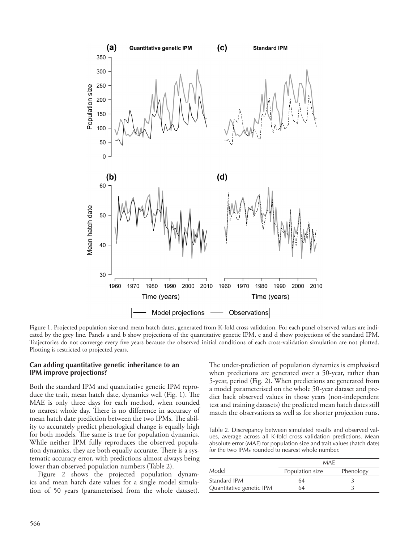

Figure 1. Projected population size and mean hatch dates, generated from K-fold cross validation. For each panel observed values are indicated by the grey line. Panels a and b show projections of the quantitative genetic IPM, c and d show projections of the standard IPM. Trajectories do not converge every five years because the observed initial conditions of each cross-validation simulation are not plotted. Plotting is restricted to projected years.

# **Can adding quantitative genetic inheritance to an IPM improve projections?**

Both the standard IPM and quantitative genetic IPM reproduce the trait, mean hatch date, dynamics well (Fig. 1). The MAE is only three days for each method, when rounded to nearest whole day. There is no difference in accuracy of mean hatch date prediction between the two IPMs. The ability to accurately predict phenological change is equally high for both models. The same is true for population dynamics. While neither IPM fully reproduces the observed population dynamics, they are both equally accurate. There is a systematic accuracy error, with predictions almost always being lower than observed population numbers (Table 2).

Figure 2 shows the projected population dynamics and mean hatch date values for a single model simulation of 50 years (parameterised from the whole dataset). The under-prediction of population dynamics is emphasised when predictions are generated over a 50-year, rather than 5-year, period (Fig. 2). When predictions are generated from a model parameterised on the whole 50-year dataset and predict back observed values in those years (non-independent test and training datasets) the predicted mean hatch dates still match the observations as well as for shorter projection runs.

Table 2. Discrepancy between simulated results and observed values, average across all K-fold cross validation predictions. Mean absolute error (MAE) for population size and trait values (hatch date) for the two IPMs rounded to nearest whole number.

|                          | MAF             |           |  |
|--------------------------|-----------------|-----------|--|
| Model                    | Population size | Phenology |  |
| Standard IPM             | 64              |           |  |
| Quantitative genetic IPM | 64              |           |  |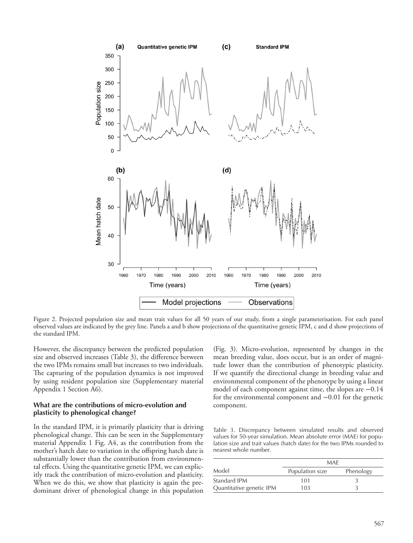

Figure 2. Projected population size and mean trait values for all 50 years of our study, from a single parameterisation. For each panel observed values are indicated by the grey line. Panels a and b show projections of the quantitative genetic IPM, c and d show projections of the standard IPM.

However, the discrepancy between the predicted population size and observed increases (Table 3), the difference between the two IPMs remains small but increases to two individuals. The capturing of the population dynamics is not improved by using resident population size (Supplementary material Appendix 1 Section A6).

# **What are the contributions of micro-evolution and plasticity to phenological change?**

In the standard IPM, it is primarily plasticity that is driving phenological change. This can be seen in the Supplementary material Appendix 1 Fig. A4, as the contribution from the mother's hatch date to variation in the offspring hatch date is substantially lower than the contribution from environmental effects. Using the quantitative genetic IPM, we can explicitly track the contribution of micro-evolution and plasticity. When we do this, we show that plasticity is again the predominant driver of phenological change in this population (Fig. 3). Micro-evolution, represented by changes in the mean breeding value, does occur, but is an order of magnitude lower than the contribution of phenotypic plasticity. If we quantify the directional change in breeding value and environmental component of the phenotype by using a linear model of each component against time, the slopes are −0.14 for the environmental component and −0.01 for the genetic component.

Table 3. Discrepancy between simulated results and observed values for 50-year simulation. Mean absolute error (MAE) for population size and trait values (hatch date) for the two IPMs rounded to nearest whole number.

|                          | MAF             |           |  |
|--------------------------|-----------------|-----------|--|
| Model                    | Population size | Phenology |  |
| Standard IPM             | 101             |           |  |
| Quantitative genetic IPM | 103             |           |  |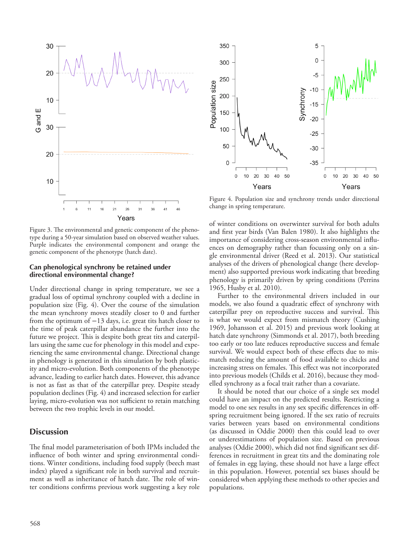



Figure 3. The environmental and genetic component of the phenotype during a 50-year simulation based on observed weather values. Purple indicates the environmental component and orange the genetic component of the phenotype (hatch date).

# **Can phenological synchrony be retained under directional environmental change?**

Under directional change in spring temperature, we see a gradual loss of optimal synchrony coupled with a decline in population size (Fig. 4). Over the course of the simulation the mean synchrony moves steadily closer to 0 and further from the optimum of −13 days, i.e. great tits hatch closer to the time of peak caterpillar abundance the further into the future we project. This is despite both great tits and caterpillars using the same cue for phenology in this model and experiencing the same environmental change. Directional change in phenology is generated in this simulation by both plasticity and micro-evolution. Both components of the phenotype advance, leading to earlier hatch dates. However, this advance is not as fast as that of the caterpillar prey. Despite steady population declines (Fig. 4) and increased selection for earlier laying, micro-evolution was not sufficient to retain matching between the two trophic levels in our model.

# **Discussion**

The final model parameterisation of both IPMs included the influence of both winter and spring environmental conditions. Winter conditions, including food supply (beech mast index) played a significant role in both survival and recruitment as well as inheritance of hatch date. The role of winter conditions confirms previous work suggesting a key role

Figure 4. Population size and synchrony trends under directional change in spring temperature.

of winter conditions on overwinter survival for both adults and first year birds (Van Balen 1980). It also highlights the importance of considering cross-season environmental influences on demography rather than focussing only on a single environmental driver (Reed et al. 2013). Our statistical analyses of the drivers of phenological change (here development) also supported previous work indicating that breeding phenology is primarily driven by spring conditions (Perrins 1965, Husby et al. 2010).

Further to the environmental drivers included in our models, we also found a quadratic effect of synchrony with caterpillar prey on reproductive success and survival. This is what we would expect from mismatch theory (Cushing 1969, Johansson et al. 2015) and previous work looking at hatch date synchrony (Simmonds et al. 2017), both breeding too early or too late reduces reproductive success and female survival. We would expect both of these effects due to mismatch reducing the amount of food available to chicks and increasing stress on females. This effect was not incorporated into previous models (Childs et al. 2016), because they modelled synchrony as a focal trait rather than a covariate.

It should be noted that our choice of a single sex model could have an impact on the predicted results. Restricting a model to one sex results in any sex specific differences in offspring recruitment being ignored. If the sex ratio of recruits varies between years based on environmental conditions (as discussed in Oddie 2000) then this could lead to over or underestimations of population size. Based on previous analyses (Oddie 2000), which did not find significant sex differences in recruitment in great tits and the dominating role of females in egg laying, these should not have a large effect in this population. However, potential sex biases should be considered when applying these methods to other species and populations.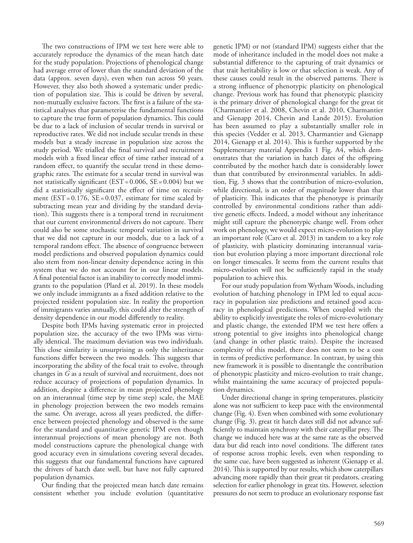The two constructions of IPM we test here were able to accurately reproduce the dynamics of the mean hatch date for the study population. Projections of phenological change had average error of lower than the standard deviation of the data (approx. seven days), even when run across 50 years. However, they also both showed a systematic under prediction of population size. This is could be driven by several, non-mutually exclusive factors. The first is a failure of the statistical analyses that parameterise the fundamental functions to capture the true form of population dynamics. This could be due to a lack of inclusion of secular trends in survival or reproductive rates. We did not include secular trends in these models but a steady increase in population size across the study period. We trialled the final survival and recruitment models with a fixed linear effect of time rather instead of a random effect, to quantify the secular trend in these demographic rates. The estimate for a secular trend in survival was not statistically significant  $(EST = 0.006, SE = 0.004)$  but we did a statistically significant the effect of time on recruitment  $(EST = 0.176, SE = 0.037, estimate for time scaled by$ subtracting mean year and dividing by the standard deviation). This suggests there is a temporal trend in recruitment that our current environmental drivers do not capture. There could also be some stochastic temporal variation in survival that we did not capture in our models, due to a lack of a temporal random effect. The absence of congruence between model predictions and observed population dynamics could also stem from non-linear density dependence acting in this system that we do not account for in our linear models. A final potential factor is an inability to correctly model immigrants to the population (Plard et al. 2019). In these models we only include immigrants as a fixed addition relative to the projected resident population size. In reality the proportion of immigrants varies annually, this could alter the strength of density dependence in our model differently to reality.

Despite both IPMs having systematic error in projected population size, the accuracy of the two IPMs was virtually identical. The maximum deviation was two individuals. This close similarity is unsurprising as only the inheritance functions differ between the two models. This suggests that incorporating the ability of the focal trait to evolve, through changes in *G* as a result of survival and recruitment, does not reduce accuracy of projections of population dynamics. In addition, despite a difference in mean projected phenology on an interannual (time step by time step) scale, the MAE in phenology projection between the two models remains the same. On average, across all years predicted, the difference between projected phenology and observed is the same for the standard and quantitative genetic IPM even though interannual projections of mean phenology are not. Both model constructions capture the phenological change with good accuracy even in simulations covering several decades, this suggests that our fundamental functions have captured the drivers of hatch date well, but have not fully captured population dynamics.

Our finding that the projected mean hatch date remains consistent whether you include evolution (quantitative

genetic IPM) or not (standard IPM) suggests either that the mode of inheritance included in the model does not make a substantial difference to the capturing of trait dynamics or that trait heritability is low or that selection is weak. Any of these causes could result in the observed patterns. There is a strong influence of phenotypic plasticity on phenological change. Previous work has found that phenotypic plasticity is the primary driver of phenological change for the great tit (Charmantier et al. 2008, Chevin et al. 2010, Charmantier and Gienapp 2014, Chevin and Lande 2015). Evolution has been assumed to play a substantially smaller role in this species (Vedder et al. 2013, Charmantier and Gienapp 2014, Gienapp et al. 2014). This is further supported by the Supplementary material Appendix 1 Fig. A4, which demonstrates that the variation in hatch dates of the offspring contributed by the mother hatch date is considerably lower than that contributed by environmental variables. In addition, Fig. 3 shows that the contribution of micro-evolution, while directional, is an order of magnitude lower than that of plasticity. This indicates that the phenotype is primarily controlled by environmental conditions rather than additive genetic effects. Indeed, a model without any inheritance might still capture the phenotypic change well. From other work on phenology, we would expect micro-evolution to play an important role (Caro et al. 2013) in tandem to a key role of plasticity, with plasticity dominating interannual variation but evolution playing a more important directional role on longer timescales. It seems from the current results that micro-evolution will not be sufficiently rapid in the study population to achieve this.

For our study population from Wytham Woods, including evolution of hatching phenology in IPM led to equal accuracy in population size predictions and retained good accuracy in phenological predictions. When coupled with the ability to explicitly investigate the roles of micro-evolutionary and plastic change, the extended IPM we test here offers a strong potential to give insights into phenological change (and change in other plastic traits). Despite the increased complexity of this model, there does not seem to be a cost in terms of predictive performance. In contrast, by using this new framework it is possible to disentangle the contribution of phenotypic plasticity and micro-evolution to trait change, whilst maintaining the same accuracy of projected population dynamics.

Under directional change in spring temperatures, plasticity alone was not sufficient to keep pace with the environmental change (Fig. 4). Even when combined with some evolutionary change (Fig. 3), great tit hatch dates still did not advance sufficiently to maintain synchrony with their caterpillar prey. The change we induced here was at the same rate as the observed data but did reach into novel conditions. The different rates of response across trophic levels, even when responding to the same cue, have been suggested as inherent (Gienapp et al. 2014). This is supported by our results, which show caterpillars advancing more rapidly than their great tit predators, creating selection for earlier phenology in great tits. However, selection pressures do not seem to produce an evolutionary response fast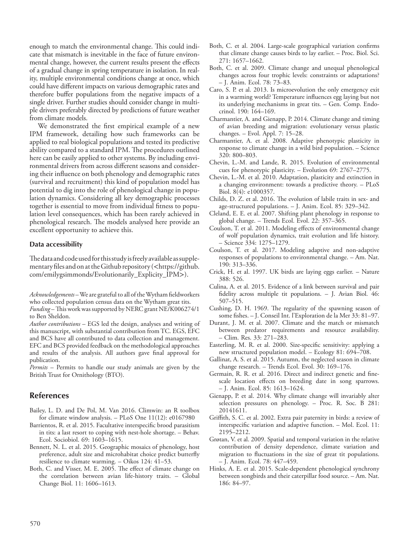enough to match the environmental change. This could indicate that mismatch is inevitable in the face of future environmental change, however, the current results present the effects of a gradual change in spring temperature in isolation. In reality, multiple environmental conditions change at once, which could have different impacts on various demographic rates and therefore buffer populations from the negative impacts of a single driver. Further studies should consider change in multiple drivers preferably directed by predictions of future weather from climate models.

We demonstrated the first empirical example of a new IPM framework, detailing how such frameworks can be applied to real biological populations and tested its predictive ability compared to a standard IPM. The procedures outlined here can be easily applied to other systems. By including environmental drivers from across different seasons and considering their influence on both phenology and demographic rates (survival and recruitment) this kind of population model has potential to dig into the role of phenological change in population dynamics. Considering all key demographic processes together is essential to move from individual fitness to population level consequences, which has been rarely achieved in phenological research. The models analysed here provide an excellent opportunity to achieve this.

# **Data accessibility**

The data and code used for this study is freely available as supplementary files and on at the Github repository (<https://github. com/emilygsimmonds/Evolutionarily\_Explicity\_IPM>).

*Acknowledgements* – We are grateful to all of the Wytham fieldworkers who collected population census data on the Wytham great tits. *Funding* – This work was supported by NERC grant NE/K006274/1 to Ben Sheldon.

*Author contributions* – EGS led the design, analyses and writing of this manuscript, with substantial contribution from TC. EGS, EFC and BCS have all contributed to data collection and management. EFC and BCS provided feedback on the methodological approaches and results of the analysis. All authors gave final approval for publication.

*Permits* – Permits to handle our study animals are given by the British Trust for Ornithology (BTO).

# **References**

- Bailey, L. D. and De Pol, M. Van 2016. Climwin: an R toolbox for climate window analysis. – PLoS One 11(12): e0167980
- Barrientos, R. et al. 2015. Facultative interspecific brood parasitism in tits: a last resort to coping with nest-hole shortage. – Behav. Ecol. Sociobiol. 69: 1603–1615.
- Bennett, N. L. et al. 2015. Geographic mosaics of phenology, host preference, adult size and microhabitat choice predict butterfly resilience to climate warming. – Oikos 124: 41–53.
- Both, C. and Visser, M. E. 2005. The effect of climate change on the correlation between avian life-history traits. – Global Change Biol. 11: 1606–1613.
- Both, C. et al. 2004. Large-scale geographical variation confirms that climate change causes birds to lay earlier. – Proc. Biol. Sci. 271: 1657–1662.
- Both, C. et al. 2009. Climate change and unequal phenological changes across four trophic levels: constraints or adaptations? – J. Anim. Ecol. 78: 73–83.
- Caro, S. P. et al. 2013. Is microevolution the only emergency exit in a warming world? Temperature influences egg laying but not its underlying mechanisms in great tits. – Gen. Comp. Endocrinol. 190: 164–169.
- Charmantier, A. and Gienapp, P. 2014. Climate change and timing of avian breeding and migration: evolutionary versus plastic changes. – Evol. Appl. 7: 15–28.
- Charmantier, A. et al. 2008. Adaptive phenotypic plasticity in response to climate change in a wild bird population. – Science 320: 800–803.
- Chevin, L.-M. and Lande, R. 2015. Evolution of environmental cues for phenotypic plasticity. – Evolution 69: 2767–2775.
- Chevin, L.-M. et al. 2010. Adaptation, plasticity and extinction in a changing environment: towards a predictive theory. – PLoS Biol. 8(4): e1000357.
- Childs, D. Z. et al. 2016. The evolution of labile traits in sex- and age-structured populations. – J. Anim. Ecol. 85: 329–342.
- Cleland, E. E. et al. 2007. Shifting plant phenology in response to global change. – Trends Ecol. Evol. 22: 357–365.
- Coulson, T. et al. 2011. Modeling effects of environmental change of wolf population dynamics, trait evolution and life history. – Science 334: 1275–1279.
- Coulson, T. et al. 2017. Modeling adaptive and non-adaptive responses of populations to environmental change. – Am. Nat. 190: 313–336.
- Crick, H. et al. 1997. UK birds are laying eggs earlier. Nature 388: 526.
- Culina, A. et al. 2015. Evidence of a link between survival and pair fidelity across multiple tit populations. – J. Avian Biol. 46: 507–515.
- Cushing, D. H. 1969. The regularity of the spawning season of some fishes. – J. Conseil Int. l'Exploration de la Mer 33: 81–97.
- Durant, J. M. et al. 2007. Climate and the match or mismatch between predator requirements and resource availability. – Clim. Res. 33: 271–283.
- Easterling, M. R. et al. 2000. Size-specific sensitivity: applying a new structured population model. – Ecology 81: 694–708.
- Gallinat, A. S. et al. 2015. Autumn, the neglected season in climate change research. – Trends Ecol. Evol. 30: 169–176.
- Germain, R. R. et al. 2016. Direct and indirect genetic and finescale location effects on breeding date in song sparrows. – J. Anim. Ecol. 85: 1613–1624.
- Gienapp, P. et al. 2014. Why climate change will invariably alter selection pressures on phenology. – Proc. R. Soc. B 281: 20141611.
- Griffith, S. C. et al. 2002. Extra pair paternity in birds: a review of interspecific variation and adaptive function. – Mol. Ecol. 11: 2195–2212.
- Grøtan, V. et al. 2009. Spatial and temporal variation in the relative contribution of density dependence, climate variation and migration to fluctuations in the size of great tit populations. – J. Anim. Ecol. 78: 447–459.
- Hinks, A. E. et al. 2015. Scale-dependent phenological synchrony between songbirds and their caterpillar food source. – Am. Nat. 186: 84–97.